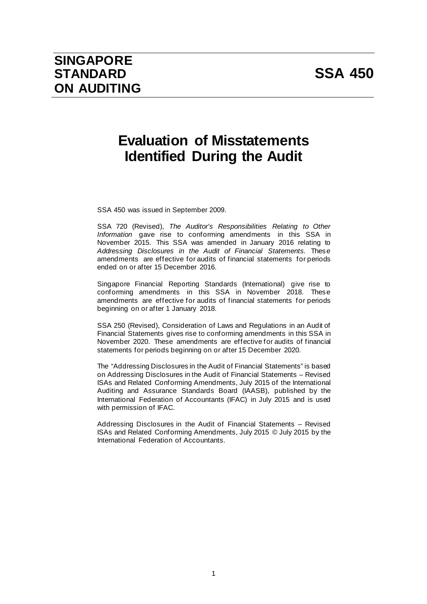# **Evaluation of Misstatements Identified During the Audit**

SSA 450 was issued in September 2009.

SSA 720 (Revised), *The Auditor's Responsibilities Relating to Other Information* gave rise to conforming amendments in this SSA in November 2015. This SSA was amended in January 2016 relating to *Addressing Disclosures in the Audit of Financial Statements.* These amendments are effective for audits of financial statements for periods ended on or after 15 December 2016.

Singapore Financial Reporting Standards (International) give rise to conforming amendments in this SSA in November 2018. These amendments are effective for audits of financial statements for periods beginning on or after 1 January 2018.

SSA 250 (Revised), Consideration of Laws and Regulations in an Audit of Financial Statements gives rise to conforming amendments in this SSA in November 2020. These amendments are effective for audits of financial statements for periods beginning on or after 15 December 2020.

The "Addressing Disclosures in the Audit of Financial Statements" is based on Addressing Disclosures in the Audit of Financial Statements – Revised ISAs and Related Conforming Amendments, July 2015 of the International Auditing and Assurance Standards Board (IAASB), published by the International Federation of Accountants (IFAC) in July 2015 and is used with permission of IFAC.

Addressing Disclosures in the Audit of Financial Statements – Revised ISAs and Related Conforming Amendments, July 2015 © July 2015 by the International Federation of Accountants.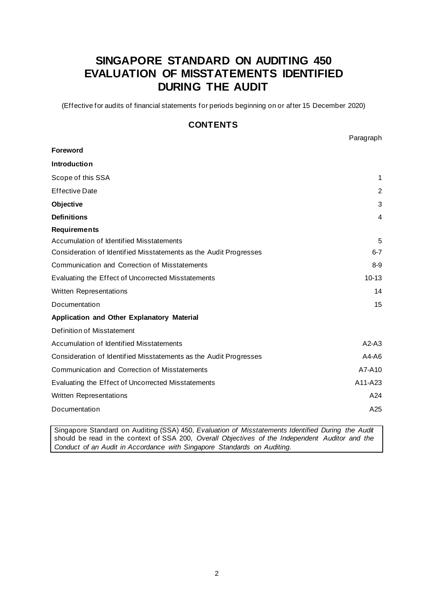# **SINGAPORE STANDARD ON AUDITING 450 EVALUATION OF MISSTATEMENTS IDENTIFIED DURING THE AUDIT**

(Effective for audits of financial statements for periods beginning on or after 15 December 2020)

# **CONTENTS**

Paragraph

| <b>Foreword</b>                                                   |           |
|-------------------------------------------------------------------|-----------|
| Introduction                                                      |           |
| Scope of this SSA                                                 | 1         |
| <b>Effective Date</b>                                             | 2         |
| Objective                                                         | 3         |
| <b>Definitions</b>                                                | 4         |
| <b>Requirements</b>                                               |           |
| Accumulation of Identified Misstatements                          | 5         |
| Consideration of Identified Misstatements as the Audit Progresses | $6 - 7$   |
| Communication and Correction of Misstatements                     | $8-9$     |
| Evaluating the Effect of Uncorrected Misstatements                | $10 - 13$ |
| Written Representations                                           | 14        |
| Documentation                                                     | 15        |
| Application and Other Explanatory Material                        |           |
| Definition of Misstatement                                        |           |
| Accumulation of Identified Misstatements                          | $A2-A3$   |
| Consideration of Identified Misstatements as the Audit Progresses | $A4-A6$   |
| Communication and Correction of Misstatements                     | A7-A10    |
| Evaluating the Effect of Uncorrected Misstatements                | A11-A23   |
| Written Representations                                           | A24       |
| Documentation                                                     | A25       |

Singapore Standard on Auditing (SSA) 450, *Evaluation of Misstatements Identified During the Audit* should be read in the context of SSA 200, *Overall Objectives of the Independent Auditor and the Conduct of an Audit in Accordance with Singapore Standards on Auditing*.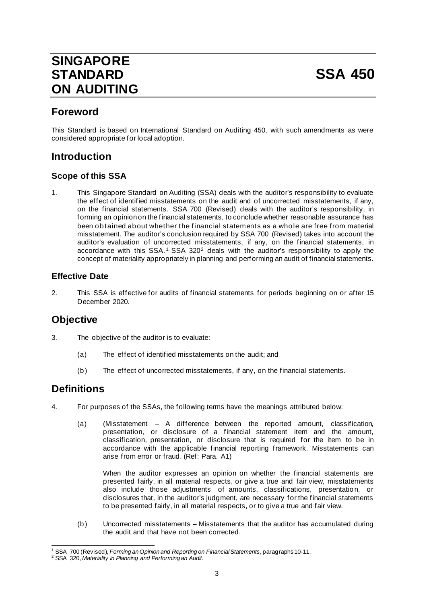# **SINGAPORE STANDARD SSA 450 ON AUDITING**

# **Foreword**

This Standard is based on International Standard on Auditing 450, with such amendments as were considered appropriate for local adoption.

# **Introduction**

# **Scope of this SSA**

1. This Singapore Standard on Auditing (SSA) deals with the auditor's responsibility to evaluate the effect of identified misstatements on the audit and of uncorrected misstatements, if any, on the financial statements. SSA 700 (Revised) deals with the auditor's responsibility, in forming an opinion on the financial statements, to conclude whether reasonable assurance has been obtained about whether the financial statements as a whole are free from material misstatement. The auditor's conclusion required by SSA 700 (Revised) takes into account the auditor's evaluation of uncorrected misstatements, if any, on the financial statements, in accordance with this  $SSA.1$  SSA 320<sup>2</sup> deals with the auditor's responsibility to apply the concept of materiality appropriately in planning and performing an audit of financial statements.

### **Effective Date**

2. This SSA is effective for audits of financial statements for periods beginning on or after 15 December 2020.

# **Objective**

- 3. The objective of the auditor is to evaluate:
	- (a) The effect of identified misstatements on the audit; and
	- (b) The effect of uncorrected misstatements, if any, on the financial statements.

# **Definitions**

- 4. For purposes of the SSAs, the following terms have the meanings attributed below:
	- (a) (Misstatement A difference between the reported amount, classification, presentation, or disclosure of a financial statement item and the amount, classification, presentation, or disclosure that is required for the item to be in accordance with the applicable financial reporting framework. Misstatements can arise from error or fraud. (Ref: Para. A1)

When the auditor expresses an opinion on whether the financial statements are presented fairly, in all material respects, or give a true and fair view, misstatements also include those adjustments of amounts, classifications, presentation, or disclosures that, in the auditor's judgment, are necessary for the financial statements to be presented fairly, in all material respects, or to give a true and fair view.

(b) Uncorrected misstatements – Misstatements that the auditor has accumulated during the audit and that have not been corrected.

<sup>&</sup>lt;sup>1</sup> SSA 700 (Revised), *Forming an Opinion and Reporting on Financial Statements*, paragraphs 10-11.<br><sup>2</sup> SSA 320, *Materiality in Planning and Performing an Audit*.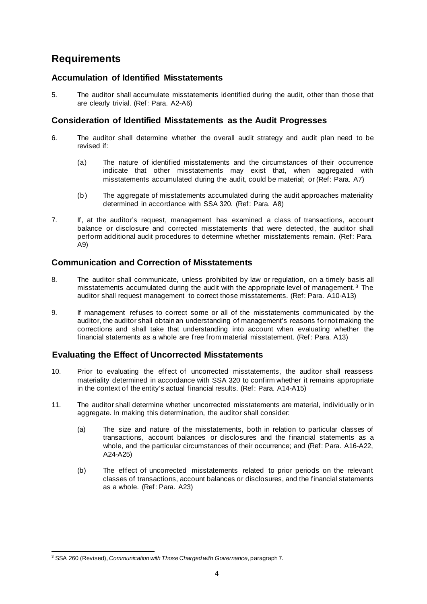# **Requirements**

### **Accumulation of Identified Misstatements**

5. The auditor shall accumulate misstatements identified during the audit, other than those that are clearly trivial. (Ref: Para. A2-A6)

### **Consideration of Identified Misstatements as the Audit Progresses**

- 6. The auditor shall determine whether the overall audit strategy and audit plan need to be revised if:
	- (a) The nature of identified misstatements and the circumstances of their occurrence indicate that other misstatements may exist that, when aggregated with misstatements accumulated during the audit, could be material; or (Ref: Para. A7)
	- (b) The aggregate of misstatements accumulated during the audit approaches materiality determined in accordance with SSA 320. (Ref: Para. A8)
- 7. If, at the auditor's request, management has examined a class of transactions, account balance or disclosure and corrected misstatements that were detected, the auditor shall perform additional audit procedures to determine whether misstatements remain. (Ref: Para. A9)

### **Communication and Correction of Misstatements**

- 8. The auditor shall communicate, unless prohibited by law or regulation, on a timely basis all misstatements accumulated during the audit with the appropriate level of management. <sup>3</sup> The auditor shall request management to correct those misstatements. (Ref: Para. A10-A13)
- 9. If management refuses to correct some or all of the misstatements communicated by the auditor, the auditor shall obtain an understanding of management's reasons for not making the corrections and shall take that understanding into account when evaluating whether the financial statements as a whole are free from material misstatement. (Ref: Para. A13)

### **Evaluating the Effect of Uncorrected Misstatements**

- 10. Prior to evaluating the effect of uncorrected misstatements, the auditor shall reassess materiality determined in accordance with SSA 320 to confirm whether it remains appropriate in the context of the entity's actual financial results. (Ref: Para. A14-A15)
- 11. The auditor shall determine whether uncorrected misstatements are material, individually or in aggregate. In making this determination, the auditor shall consider:
	- (a) The size and nature of the misstatements, both in relation to particular classes of transactions, account balances or disclosures and the financial statements as a whole, and the particular circumstances of their occurrence; and (Ref: Para. A16-A22, A24-A25)
	- (b) The effect of uncorrected misstatements related to prior periods on the relevant classes of transactions, account balances or disclosures, and the financial statements as a whole. (Ref: Para. A23)

<sup>3</sup> SSA 260 (Revised), *Communication with Those Charged with Governance*, paragraph 7.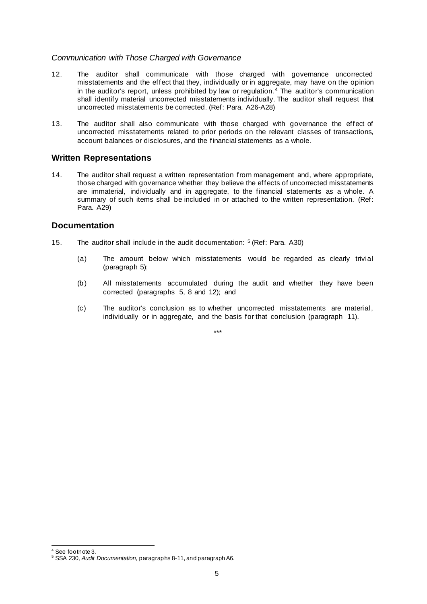#### *Communication with Those Charged with Governance*

- 12. The auditor shall communicate with those charged with governance uncorrected misstatements and the effect that they, individually or in aggregate, may have on the opinion in the auditor's report, unless prohibited by law or regulation.<sup>4</sup> The auditor's communication shall identify material uncorrected misstatements individually. The auditor shall request that uncorrected misstatements be corrected. (Ref: Para. A26-A28)
- 13. The auditor shall also communicate with those charged with governance the effect of uncorrected misstatements related to prior periods on the relevant classes of transactions, account balances or disclosures, and the financial statements as a whole.

### **Written Representations**

14. The auditor shall request a written representation from management and, where appropriate, those charged with governance whether they believe the effects of uncorrected misstatements are immaterial, individually and in aggregate, to the financial statements as a whole. A summary of such items shall be included in or attached to the written representation. (Ref: Para. A29)

#### **Documentation**

- 15. The auditor shall include in the audit documentation: 5 (Ref: Para. A30)
	- (a) The amount below which misstatements would be regarded as clearly trivial (paragraph 5);
	- (b) All misstatements accumulated during the audit and whether they have been corrected (paragraphs 5, 8 and 12); and
	- (c) The auditor's conclusion as to whether uncorrected misstatements are material, individually or in aggregate, and the basis for that conclusion (paragraph 11).

\*\*\*

<sup>4</sup> See footnote 3. <sup>5</sup> SSA 230, *Audit Documentation*, paragraphs 8-11, and paragraph A6.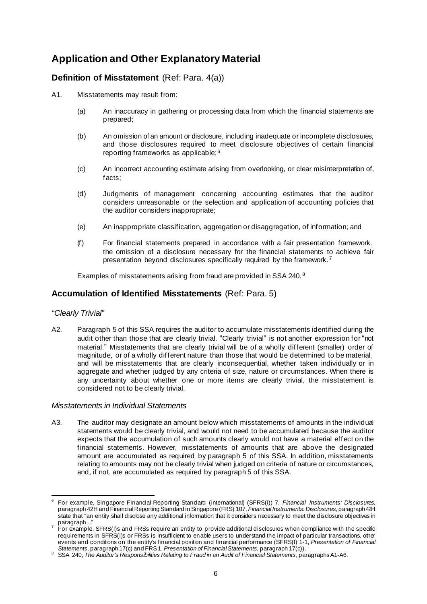# **Application and Other Explanatory Material**

### **Definition of Misstatement** (Ref: Para. 4(a))

- A1. Misstatements may result from:
	- (a) An inaccuracy in gathering or processing data from which the financial statements are prepared;
	- (b) An omission of an amount or disclosure, including inadequate or incomplete disclosures, and those disclosures required to meet disclosure objectives of certain financial reporting frameworks as applicable; <sup>6</sup>
	- (c) An incorrect accounting estimate arising from overlooking, or clear misinterpretation of, facts;
	- (d) Judgments of management concerning accounting estimates that the auditor considers unreasonable or the selection and application of accounting policies that the auditor considers inappropriate;
	- (e) An inappropriate classification, aggregation or disaggregation, of information; and
	- (f) For financial statements prepared in accordance with a fair presentation framework, the omission of a disclosure necessary for the financial statements to achieve fair presentation beyond disclosures specifically required by the framework. <sup>7</sup>

Examples of misstatements arising from fraud are provided in SSA 240. <sup>8</sup>

### **Accumulation of Identified Misstatements** (Ref: Para. 5)

### *"Clearly Trivial"*

A2. Paragraph 5 of this SSA requires the auditor to accumulate misstatements identified during the audit other than those that are clearly trivial. "Clearly trivial" is not another expression for "not material." Misstatements that are clearly trivial will be of a wholly different (smaller) order of magnitude, or of a wholly different nature than those that would be determined to be material, and will be misstatements that are clearly inconsequential, whether taken individually or in aggregate and whether judged by any criteria of size, nature or circumstances. When there is any uncertainty about whether one or more items are clearly trivial, the misstatement is considered not to be clearly trivial.

#### *Misstatements in Individual Statements*

A3. The auditor may designate an amount below which misstatements of amounts in the individual statements would be clearly trivial, and would not need to be accumulated because the auditor expects that the accumulation of such amounts clearly would not have a material effect on the financial statements. However, misstatements of amounts that are above the designated amount are accumulated as required by paragraph 5 of this SSA. In addition, misstatements relating to amounts may not be clearly trivial when judged on criteria of nature or circumstances, and, if not, are accumulated as required by paragraph 5 of this SSA.

<sup>6</sup> For example, Singapore Financial Reporting Standard (International) (SFRS(I)) 7, *Financial Instruments: Disclosures*, paragraph 42H and Financial Reporting Standard in Singapore (FRS) 107, *Financial Instruments: Disclosures*, paragraph 42H state that "an entity shall disclose any additional information that it considers necessary to meet the disclosure objectives in

<sup>7</sup> For example, SFRS(I)s and FRSs require an entity to provide additional disclosures when compliance with the specific requirements in SFRS(I)s or FRSs is insufficient to enable users to understand the impact of particular transactions, other events and conditions on the entity's financial position and financial performance (SFRS(I) 1-1, *Presentation of Financial Statements*, paragraph 17(c) and FRS1, *Presentation of Financial* 

<sup>&</sup>lt;sup>8</sup> SSA 240, The Auditor's Responsibilities Relating to Fraud in an Audit of Financial Statements, paragraphs A1-A6.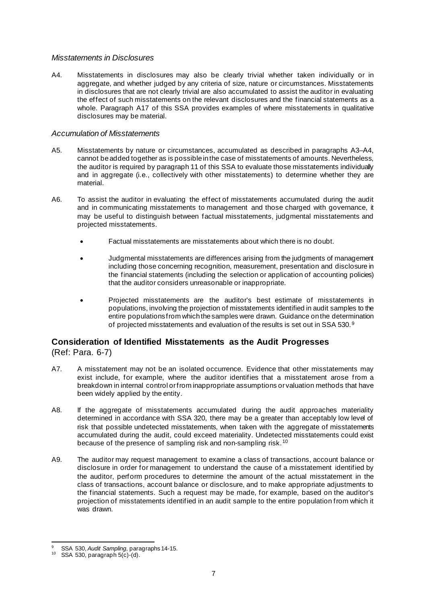#### *Misstatements in Disclosures*

A4. Misstatements in disclosures may also be clearly trivial whether taken individually or in aggregate, and whether judged by any criteria of size, nature or circumstances. Misstatements in disclosures that are not clearly trivial are also accumulated to assist the auditor in evaluating the effect of such misstatements on the relevant disclosures and the financial statements as a whole. Paragraph A17 of this SSA provides examples of where misstatements in qualitative disclosures may be material.

#### *Accumulation of Misstatements*

- A5. Misstatements by nature or circumstances, accumulated as described in paragraphs A3–A4, cannot be added together as is possible in the case of misstatements of amounts. Nevertheless, the auditor is required by paragraph 11 of this SSA to evaluate those misstatements individually and in aggregate (i.e., collectively with other misstatements) to determine whether they are material.
- A6. To assist the auditor in evaluating the effect of misstatements accumulated during the audit and in communicating misstatements to management and those charged with governance, it may be useful to distinguish between factual misstatements, judgmental misstatements and projected misstatements.
	- Factual misstatements are misstatements about which there is no doubt.
	- Judgmental misstatements are differences arising from the judgments of management including those concerning recognition, measurement, presentation and disclosure in the financial statements (including the selection or application of accounting policies) that the auditor considers unreasonable or inappropriate.
	- Projected misstatements are the auditor's best estimate of misstatements in populations, involving the projection of misstatements identified in audit samples to the entire populations from which the samples were drawn. Guidance on the determination of projected misstatements and evaluation of the results is set out in SSA 530. <sup>9</sup>

### **Consideration of Identified Misstatements as the Audit Progresses**  (Ref: Para. 6-7)

- A7. A misstatement may not be an isolated occurrence. Evidence that other misstatements may exist include, for example, where the auditor identifies that a misstatement arose from a breakdown in internal control or from inappropriate assumptions or valuation methods that have been widely applied by the entity.
- A8. If the aggregate of misstatements accumulated during the audit approaches materiality determined in accordance with SSA 320, there may be a greater than acceptably low level of risk that possible undetected misstatements, when taken with the aggregate of misstatements accumulated during the audit, could exceed materiality. Undetected misstatements could exist because of the presence of sampling risk and non-sampling risk. <sup>10</sup>
- A9. The auditor may request management to examine a class of transactions, account balance or disclosure in order for management to understand the cause of a misstatement identified by the auditor, perform procedures to determine the amount of the actual misstatement in the class of transactions, account balance or disclosure, and to make appropriate adjustments to the financial statements. Such a request may be made, for example, based on the auditor's projection of misstatements identified in an audit sample to the entire population from which it was drawn.

<sup>&</sup>lt;sup>9</sup> SSA 530, *Audit Sampling*, paragraphs 14-15.<br><sup>10</sup> SSA 530, paragraph 5(c)-(d).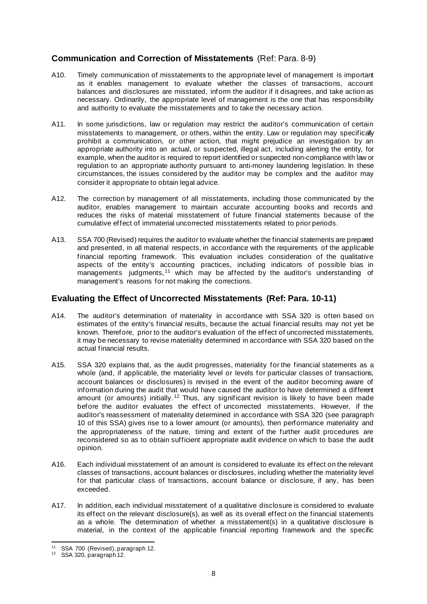# **Communication and Correction of Misstatements** (Ref: Para. 8-9)

- A10. Timely communication of misstatements to the appropriate level of management is important as it enables management to evaluate whether the classes of transactions, account balances and disclosures are misstated, inform the auditor if it disagrees, and take action as necessary. Ordinarily, the appropriate level of management is the one that has responsibility and authority to evaluate the misstatements and to take the necessary action.
- A11. In some jurisdictions, law or regulation may restrict the auditor's communication of certain misstatements to management, or others, within the entity. Law or regulation may specifically prohibit a communication, or other action, that might prejudice an investigation by an appropriate authority into an actual, or suspected, illegal act, including alerting the entity, for example, when the auditor is required to report identified or suspected non-compliance with law or regulation to an appropriate authority pursuant to anti-money laundering legislation. In these circumstances, the issues considered by the auditor may be complex and the auditor may consider it appropriate to obtain legal advice.
- A12. The correction by management of all misstatements, including those communicated by the auditor, enables management to maintain accurate accounting books and records and reduces the risks of material misstatement of future financial statements because of the cumulative effect of immaterial uncorrected misstatements related to prior periods.
- A13. SSA 700 (Revised) requires the auditor to evaluate whether the financial statements are prepared and presented, in all material respects, in accordance with the requirements of the applicable financial reporting framework. This evaluation includes consideration of the qualitative aspects of the entity's accounting practices, including indicators of possible bias in managements judgments,<sup>11</sup> which may be affected by the auditor's understanding of management's reasons for not making the corrections.

### **Evaluating the Effect of Uncorrected Misstatements (Ref: Para. 10-11)**

- A14. The auditor's determination of materiality in accordance with SSA 320 is often based on estimates of the entity's financial results, because the actual financial results may not yet be known. Therefore, prior to the auditor's evaluation of the effect of uncorrected misstatements, it may be necessary to revise materiality determined in accordance with SSA 320 based on the actual financial results.
- A15. SSA 320 explains that, as the audit progresses, materiality for the financial statements as a whole (and, if applicable, the materiality level or levels for particular classes of transactions, account balances or disclosures) is revised in the event of the auditor becoming aware of information during the audit that would have caused the auditor to have determined a different amount (or amounts) initially.<sup>12</sup> Thus, any significant revision is likely to have been made before the auditor evaluates the effect of uncorrected misstatements. However, if the auditor's reassessment of materiality determined in accordance with SSA 320 (see paragraph 10 of this SSA) gives rise to a lower amount (or amounts), then performance materiality and the appropriateness of the nature, timing and extent of the further audit procedures are reconsidered so as to obtain sufficient appropriate audit evidence on which to base the audit opinion.
- A16. Each individual misstatement of an amount is considered to evaluate its effect on the relevant classes of transactions, account balances or disclosures, including whether the materiality level for that particular class of transactions, account balance or disclosure, if any, has been exceeded.
- A17. In addition, each individual misstatement of a qualitative disclosure is considered to evaluate its effect on the relevant disclosure(s), as well as its overall effect on the financial statements as a whole. The determination of whether a misstatement(s) in a qualitative disclosure is material, in the context of the applicable financial reporting framework and the specific

<sup>&</sup>lt;sup>11</sup> SSA 700 (Revised), paragraph 12.<br><sup>12</sup> SSA 320, paragraph 12.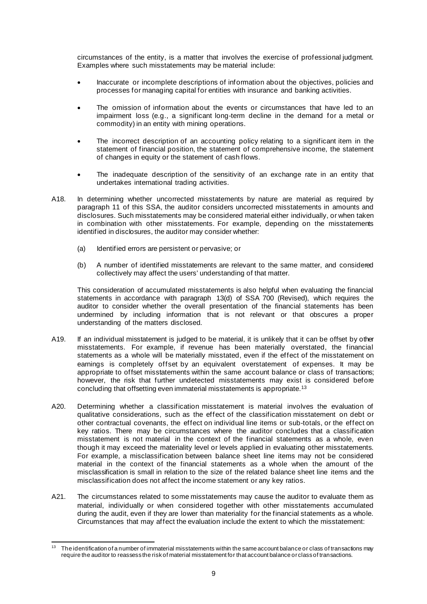circumstances of the entity, is a matter that involves the exercise of professional judgment. Examples where such misstatements may be material include:

- Inaccurate or incomplete descriptions of information about the objectives, policies and processes for managing capital for entities with insurance and banking activities.
- The omission of information about the events or circumstances that have led to an impairment loss (e.g., a significant long-term decline in the demand for a metal or commodity) in an entity with mining operations.
- The incorrect description of an accounting policy relating to a significant item in the statement of financial position, the statement of comprehensive income, the statement of changes in equity or the statement of cash flows.
- The inadequate description of the sensitivity of an exchange rate in an entity that undertakes international trading activities.
- A18. In determining whether uncorrected misstatements by nature are material as required by paragraph 11 of this SSA, the auditor considers uncorrected misstatements in amounts and disclosures. Such misstatements may be considered material either individually, or when taken in combination with other misstatements. For example, depending on the misstatements identified in disclosures, the auditor may consider whether:
	- (a) Identified errors are persistent or pervasive; or
	- (b) A number of identified misstatements are relevant to the same matter, and considered collectively may affect the users' understanding of that matter.

This consideration of accumulated misstatements is also helpful when evaluating the financial statements in accordance with paragraph 13(d) of SSA 700 (Revised), which requires the auditor to consider whether the overall presentation of the financial statements has been undermined by including information that is not relevant or that obscures a proper understanding of the matters disclosed.

- A19. If an individual misstatement is judged to be material, it is unlikely that it can be offset by other misstatements. For example, if revenue has been materially overstated, the financial statements as a whole will be materially misstated, even if the effect of the misstatement on earnings is completely offset by an equivalent overstatement of expenses. It may be appropriate to offset misstatements within the same account balance or class of transactions; however, the risk that further undetected misstatements may exist is considered before concluding that offsetting even immaterial misstatements is appropriate.13
- A20. Determining whether a classification misstatement is material involves the evaluation of qualitative considerations, such as the effect of the classification misstatement on debt or other contractual covenants, the effect on individual line items or sub-totals, or the effect on key ratios. There may be circumstances where the auditor concludes that a classification misstatement is not material in the context of the financial statements as a whole, even though it may exceed the materiality level or levels applied in evaluating other misstatements. For example, a misclassification between balance sheet line items may not be considered material in the context of the financial statements as a whole when the amount of the misclassification is small in relation to the size of the related balance sheet line items and the misclassification does not affect the income statement or any key ratios.
- A21. The circumstances related to some misstatements may cause the auditor to evaluate them as material, individually or when considered together with other misstatements accumulated during the audit, even if they are lower than materiality for the financial statements as a whole. Circumstances that may affect the evaluation include the extent to which the misstatement:

<sup>13</sup> The identification of a number of immaterial misstatements within the same account balance or class of transactions may require the auditor to reassess the risk of material misstatement for that account balance or class of transactions.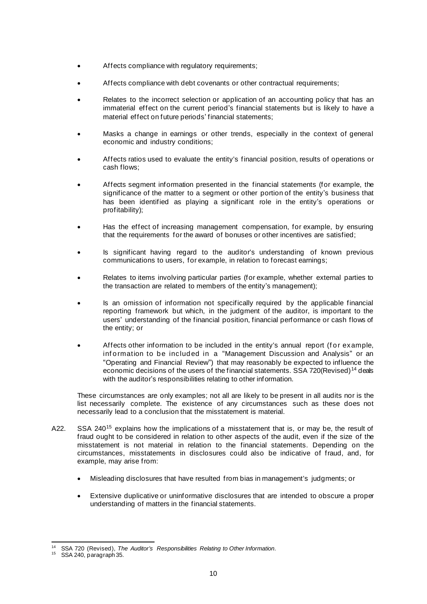- Affects compliance with regulatory requirements;
- Affects compliance with debt covenants or other contractual requirements;
- Relates to the incorrect selection or application of an accounting policy that has an immaterial effect on the current period's financial statements but is likely to have a material effect on future periods' financial statements;
- Masks a change in earnings or other trends, especially in the context of general economic and industry conditions;
- Affects ratios used to evaluate the entity's financial position, results of operations or cash flows;
- Affects segment information presented in the financial statements (for example, the significance of the matter to a segment or other portion of the entity's business that has been identified as playing a significant role in the entity's operations or profitability);
- Has the effect of increasing management compensation, for example, by ensuring that the requirements for the award of bonuses or other incentives are satisfied;
- Is significant having regard to the auditor's understanding of known previous communications to users, for example, in relation to forecast earnings;
- Relates to items involving particular parties (for example, whether external parties to the transaction are related to members of the entity's management);
- Is an omission of information not specifically required by the applicable financial reporting framework but which, in the judgment of the auditor, is important to the users' understanding of the financial position, financial performance or cash flows of the entity; or
- Affects other information to be included in the entity's annual report (for example, inf ormation to be included in a "Management Discussion and Analysis" or an "Operating and Financial Review") that may reasonably be expected to influence the economic decisions of the users of the financial statements. SSA 720(Revised)<sup>14</sup> deals with the auditor's responsibilities relating to other information.

These circumstances are only examples; not all are likely to be present in all audits nor is the list necessarily complete. The existence of any circumstances such as these does not necessarily lead to a conclusion that the misstatement is material.

- A22. SSA 240<sup>15</sup> explains how the implications of a misstatement that is, or may be, the result of fraud ought to be considered in relation to other aspects of the audit, even if the size of the misstatement is not material in relation to the financial statements. Depending on the circumstances, misstatements in disclosures could also be indicative of fraud, and, for example, may arise from:
	- Misleading disclosures that have resulted from bias in management's judgments; or
	- Extensive duplicative or uninformative disclosures that are intended to obscure a proper understanding of matters in the financial statements.

<sup>14</sup> SSA 720 (Revised), *The Auditor's Responsibilities Relating to Other Information*. <sup>15</sup> SSA 240, paragraph 35.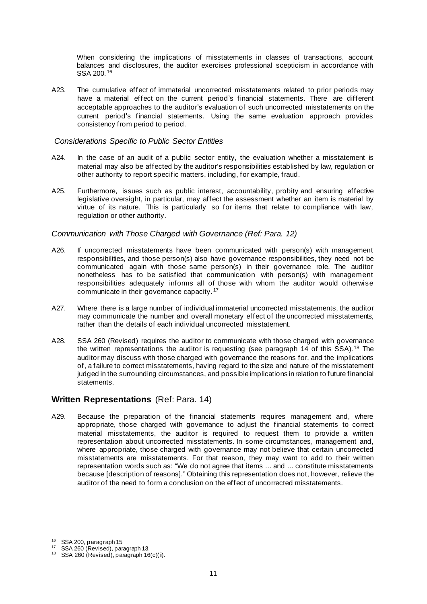When considering the implications of misstatements in classes of transactions, account balances and disclosures, the auditor exercises professional scepticism in accordance with SSA 200. <sup>16</sup>

A23. The cumulative effect of immaterial uncorrected misstatements related to prior periods may have a material effect on the current period's financial statements. There are different acceptable approaches to the auditor's evaluation of such uncorrected misstatements on the current period's financial statements. Using the same evaluation approach provides consistency from period to period.

#### *Considerations Specific to Public Sector Entities*

- A24. In the case of an audit of a public sector entity, the evaluation whether a misstatement is material may also be affected by the auditor's responsibilities established by law, regulation or other authority to report specific matters, including, for example, fraud.
- A25. Furthermore, issues such as public interest, accountability, probity and ensuring effective legislative oversight, in particular, may affect the assessment whether an item is material by virtue of its nature. This is particularly so for items that relate to compliance with law, regulation or other authority.

#### *Communication with Those Charged with Governance (Ref: Para. 12)*

- A26. If uncorrected misstatements have been communicated with person(s) with management responsibilities, and those person(s) also have governance responsibilities, they need not be communicated again with those same person(s) in their governance role. The auditor nonetheless has to be satisfied that communication with person(s) with management responsibilities adequately informs all of those with whom the auditor would otherwise communicate in their governance capacity. <sup>17</sup>
- A27. Where there is a large number of individual immaterial uncorrected misstatements, the auditor may communicate the number and overall monetary effect of the uncorrected misstatements, rather than the details of each individual uncorrected misstatement.
- A28. SSA 260 (Revised) requires the auditor to communicate with those charged with governance the written representations the auditor is requesting (see paragraph 14 of this SSA).<sup>18</sup> The auditor may discuss with those charged with governance the reasons for, and the implications of, a failure to correct misstatements, having regard to the size and nature of the misstatement judged in the surrounding circumstances, and possible implications in relation to future financial statements.

### **Written Representations** (Ref: Para. 14)

A29. Because the preparation of the financial statements requires management and, where appropriate, those charged with governance to adjust the financial statements to correct material misstatements, the auditor is required to request them to provide a written representation about uncorrected misstatements. In some circumstances, management and, where appropriate, those charged with governance may not believe that certain uncorrected misstatements are misstatements. For that reason, they may want to add to their written representation words such as: "We do not agree that items ... and ... constitute misstatements because [description of reasons]." Obtaining this representation does not, however, relieve the auditor of the need to form a conclusion on the effect of uncorrected misstatements.

<sup>&</sup>lt;sup>16</sup> SSA 200, paragraph 15<br><sup>17</sup> SSA 260 (Revised), paragraph 13.<br><sup>18</sup> SSA 260 (Revised), paragraph 16(c)(ii).